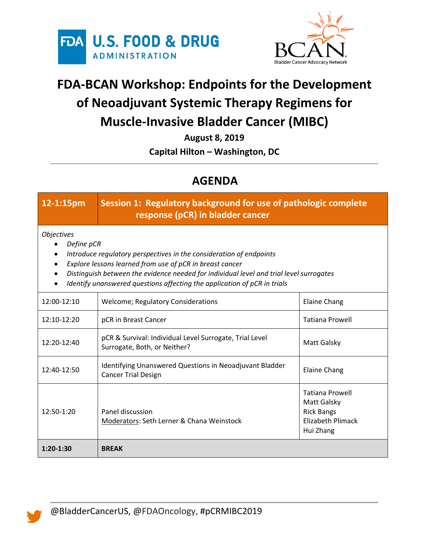



## **FDA-BCAN Workshop: Endpoints for the Development of Neoadjuvant Systemic Therapy Regimens for Muscle-Invasive Bladder Cancer (MIBC)**

**August 8, 2019**

**Capital Hilton – Washington, DC**

## **AGENDA**

| 12-1:15pm                                                                                                                                                                                                                                                                                                                                 | Session 1: Regulatory background for use of pathologic complete<br>response (pCR) in bladder cancer |                                                                                                     |  |  |
|-------------------------------------------------------------------------------------------------------------------------------------------------------------------------------------------------------------------------------------------------------------------------------------------------------------------------------------------|-----------------------------------------------------------------------------------------------------|-----------------------------------------------------------------------------------------------------|--|--|
| <b>Objectives</b><br>Define pCR<br>Introduce regulatory perspectives in the consideration of endpoints<br>Explore lessons learned from use of pCR in breast cancer<br>Distinguish between the evidence needed for individual level and trial level surrogates<br>Identify unanswered questions affecting the application of pCR in trials |                                                                                                     |                                                                                                     |  |  |
| 12:00-12:10                                                                                                                                                                                                                                                                                                                               | <b>Welcome; Regulatory Considerations</b>                                                           | <b>Elaine Chang</b>                                                                                 |  |  |
| 12:10-12:20                                                                                                                                                                                                                                                                                                                               | pCR in Breast Cancer                                                                                | <b>Tatiana Prowell</b>                                                                              |  |  |
| $12:20-12:40$                                                                                                                                                                                                                                                                                                                             | pCR & Survival: Individual Level Surrogate, Trial Level<br>Surrogate, Both, or Neither?             | Matt Galsky                                                                                         |  |  |
| 12:40-12:50                                                                                                                                                                                                                                                                                                                               | Identifying Unanswered Questions in Neoadjuvant Bladder<br><b>Cancer Trial Design</b>               | <b>Elaine Chang</b>                                                                                 |  |  |
| 12:50-1:20                                                                                                                                                                                                                                                                                                                                | Panel discussion<br>Moderators: Seth Lerner & Chana Weinstock                                       | <b>Tatiana Prowell</b><br>Matt Galsky<br><b>Rick Bangs</b><br><b>Elizabeth Plimack</b><br>Hui Zhang |  |  |
| $1:20-1:30$                                                                                                                                                                                                                                                                                                                               | <b>BREAK</b>                                                                                        |                                                                                                     |  |  |